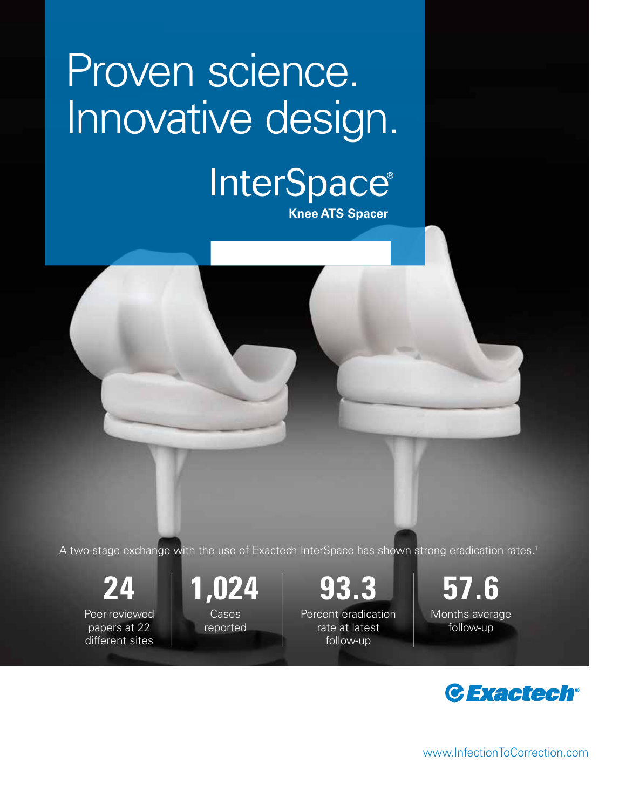# Proven science. Innovative design.

# InterSpace®

**Knee ATS Spacer** 

A two-stage exchange with the use of Exactech InterSpace has shown strong eradication rates.<sup>1</sup>

Peer-reviewed papers at 22 different sites **Cases** 

reported

**24 1,024 93.3 57.6**

Percent eradication rate at latest follow-up

Months average follow-up



www.InfectionToCorrection.com